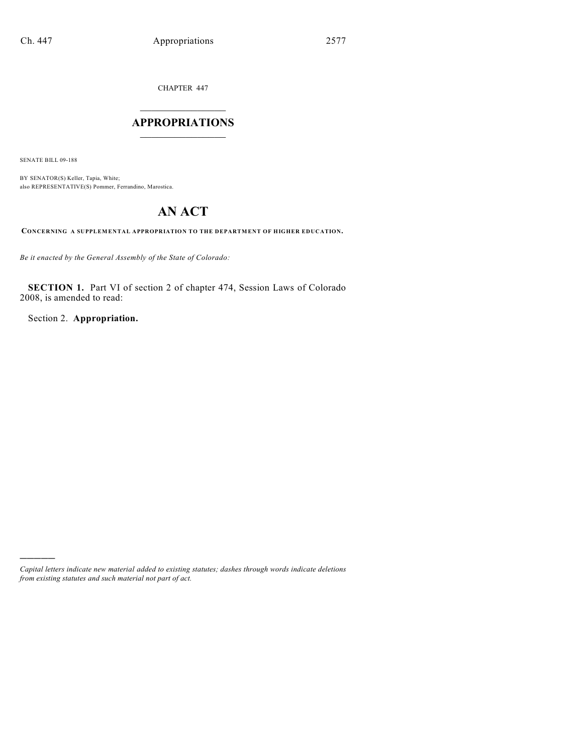CHAPTER 447

# $\overline{\phantom{a}}$  . The set of the set of the set of the set of the set of the set of the set of the set of the set of the set of the set of the set of the set of the set of the set of the set of the set of the set of the set o **APPROPRIATIONS**  $\_$   $\_$   $\_$   $\_$   $\_$   $\_$   $\_$   $\_$

SENATE BILL 09-188

)))))

BY SENATOR(S) Keller, Tapia, White; also REPRESENTATIVE(S) Pommer, Ferrandino, Marostica.

# **AN ACT**

**CONCERNING A SUPPLEMENTAL APPROPRIATION TO THE DEPARTMENT OF HIGHER EDUCATION.**

*Be it enacted by the General Assembly of the State of Colorado:*

**SECTION 1.** Part VI of section 2 of chapter 474, Session Laws of Colorado 2008, is amended to read:

Section 2. **Appropriation.**

*Capital letters indicate new material added to existing statutes; dashes through words indicate deletions from existing statutes and such material not part of act.*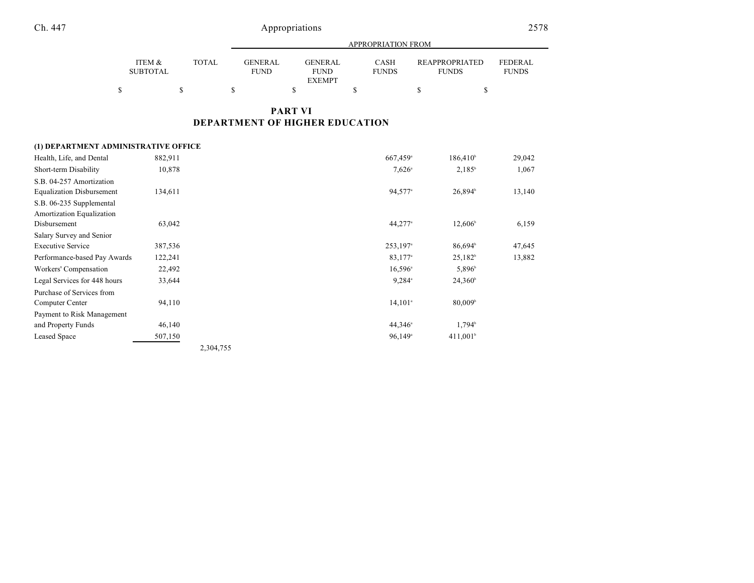|                           |       | APPROPRIATION FROM |                               |  |                               |  |                             |  |                                       |  |                                |
|---------------------------|-------|--------------------|-------------------------------|--|-------------------------------|--|-----------------------------|--|---------------------------------------|--|--------------------------------|
| ITEM &<br><b>SUBTOTAL</b> | TOTAL |                    | <b>GENERAL</b><br><b>FUND</b> |  | <b>GENERAL</b><br><b>FUND</b> |  | <b>CASH</b><br><b>FUNDS</b> |  | <b>REAPPROPRIATED</b><br><b>FUNDS</b> |  | <b>FEDERAL</b><br><b>FUNDS</b> |
|                           |       |                    |                               |  | <b>EXEMPT</b>                 |  |                             |  |                                       |  |                                |

## **PART VI DEPARTMENT OF HIGHER EDUCATION**

#### **(1) DEPARTMENT ADMINISTRATIVE OFFICE**

| Health, Life, and Dental         | 882,911 |           | 667,459 <sup>a</sup>   | $186,410^{\circ}$      | 29,042 |
|----------------------------------|---------|-----------|------------------------|------------------------|--------|
| Short-term Disability            | 10,878  |           | $7,626$ <sup>a</sup>   | $2,185^{\rm b}$        | 1,067  |
| S.B. 04-257 Amortization         |         |           |                        |                        |        |
| <b>Equalization Disbursement</b> | 134,611 |           | 94,577 <sup>a</sup>    | 26,894 <sup>b</sup>    | 13,140 |
| S.B. 06-235 Supplemental         |         |           |                        |                        |        |
| Amortization Equalization        |         |           |                        |                        |        |
| Disbursement                     | 63,042  |           | 44,277 <sup>a</sup>    | $12,606^{\circ}$       | 6,159  |
| Salary Survey and Senior         |         |           |                        |                        |        |
| <b>Executive Service</b>         | 387,536 |           | $253,197$ <sup>a</sup> | 86,694                 | 47,645 |
| Performance-based Pay Awards     | 122,241 |           | 83,177 <sup>a</sup>    | $25,182^b$             | 13,882 |
| Workers' Compensation            | 22,492  |           | $16,596^{\circ}$       | 5,896 <sup>b</sup>     |        |
| Legal Services for 448 hours     | 33,644  |           | $9,284$ <sup>a</sup>   | $24,360^{\circ}$       |        |
| Purchase of Services from        |         |           |                        |                        |        |
| Computer Center                  | 94,110  |           | $14,101^{\circ}$       | 80,009 <sup>b</sup>    |        |
| Payment to Risk Management       |         |           |                        |                        |        |
| and Property Funds               | 46,140  |           | $44,346^{\circ}$       | $1,794^{\rm b}$        |        |
| <b>Leased Space</b>              | 507,150 |           | $96,149$ <sup>a</sup>  | $411,001$ <sup>b</sup> |        |
|                                  |         | 2,304,755 |                        |                        |        |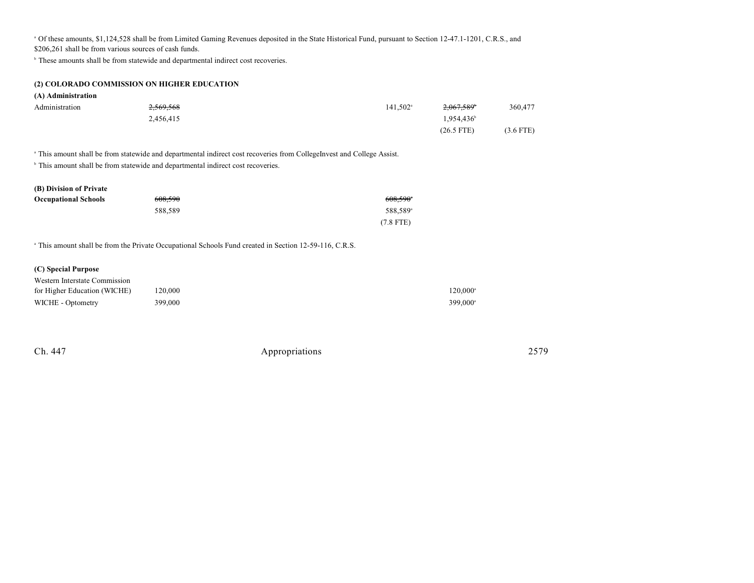<sup>a</sup> Of these amounts, \$1,124,528 shall be from Limited Gaming Revenues deposited in the State Historical Fund, pursuant to Section 12-47.1-1201, C.R.S., and

\$206,261 shall be from various sources of cash funds.

<sup>b</sup> These amounts shall be from statewide and departmental indirect cost recoveries.

| (2) COLORADO COMMISSION ON HIGHER EDUCATION |
|---------------------------------------------|
|---------------------------------------------|

|  | (A) Administration |
|--|--------------------|
|  |                    |

| Administration | 2,569,568 | $141.502^{\circ}$ | 2,067,589 <sup>b</sup> | 360,477     |
|----------------|-----------|-------------------|------------------------|-------------|
|                | 2,456,415 |                   | $1,954,436^{\circ}$    |             |
|                |           |                   | $(26.5$ FTE)           | $(3.6$ FTE) |

<sup>a</sup> This amount shall be from statewide and departmental indirect cost recoveries from CollegeInvest and College Assist.

 $\degree$  This amount shall be from statewide and departmental indirect cost recoveries.

| (B) Division of Private     |         |                      |
|-----------------------------|---------|----------------------|
| <b>Occupational Schools</b> | 608.590 | 608,590°             |
|                             | 588.589 | 588.589 <sup>a</sup> |
|                             |         | $(7.8$ FTE)          |

<sup>a</sup> This amount shall be from the Private Occupational Schools Fund created in Section 12-59-116, C.R.S.

#### **(C) Special Purpose**

| Western Interstate Commission |         |                      |
|-------------------------------|---------|----------------------|
| for Higher Education (WICHE)  | 120.000 | $120.000^\text{a}$   |
| WICHE - Optometry             | 399,000 | 399.000 <sup>a</sup> |

| Ch. 447 | Appropriations | 2579 |
|---------|----------------|------|
|         |                |      |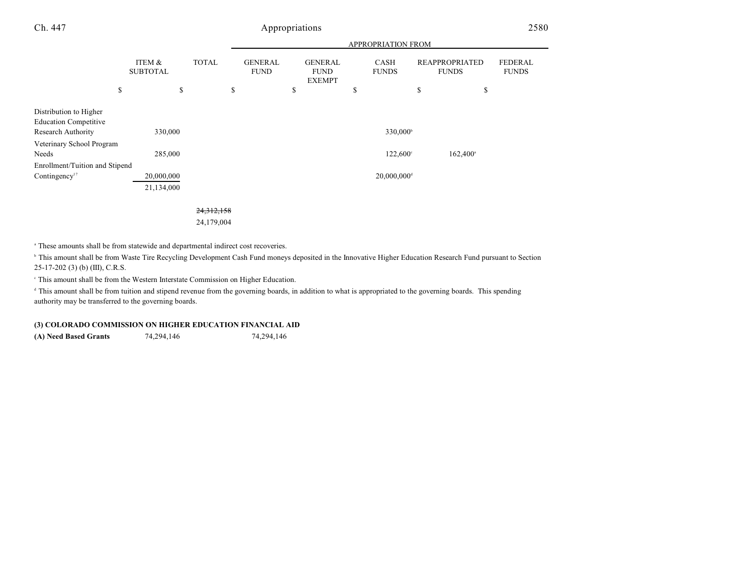|                                                                                                                    |                           |              |                               | <b>APPROPRIATION FROM</b>                      |                                           |                                       |                                |  |
|--------------------------------------------------------------------------------------------------------------------|---------------------------|--------------|-------------------------------|------------------------------------------------|-------------------------------------------|---------------------------------------|--------------------------------|--|
|                                                                                                                    | ITEM &<br><b>SUBTOTAL</b> | <b>TOTAL</b> | <b>GENERAL</b><br><b>FUND</b> | <b>GENERAL</b><br><b>FUND</b><br><b>EXEMPT</b> | <b>CASH</b><br><b>FUNDS</b>               | <b>REAPPROPRIATED</b><br><b>FUNDS</b> | <b>FEDERAL</b><br><b>FUNDS</b> |  |
|                                                                                                                    | \$                        | \$           | \$                            | \$                                             | \$                                        | \$<br>\$                              |                                |  |
| Distribution to Higher<br><b>Education Competitive</b><br>Research Authority<br>Veterinary School Program<br>Needs | 330,000<br>285,000        |              |                               |                                                | 330,000 <sup>b</sup><br>$122,600^{\circ}$ | $162,400^{\circ}$                     |                                |  |
| Enrollment/Tuition and Stipend                                                                                     |                           |              |                               |                                                |                                           |                                       |                                |  |
| Contingency <sup>17</sup>                                                                                          | 20,000,000<br>21,134,000  |              |                               |                                                | $20,000,000$ <sup>d</sup>                 |                                       |                                |  |

24,312,158

24,179,004

<sup>a</sup> These amounts shall be from statewide and departmental indirect cost recoveries.

<sup>b</sup> This amount shall be from Waste Tire Recycling Development Cash Fund moneys deposited in the Innovative Higher Education Research Fund pursuant to Section 25-17-202 (3) (b) (III), C.R.S.

This amount shall be from the Western Interstate Commission on Higher Education. <sup>c</sup>

<sup>d</sup> This amount shall be from tuition and stipend revenue from the governing boards, in addition to what is appropriated to the governing boards. This spending authority may be transferred to the governing boards.

#### **(3) COLORADO COMMISSION ON HIGHER EDUCATION FINANCIAL AID**

**(A) Need Based Grants** 74,294,146 74,294,146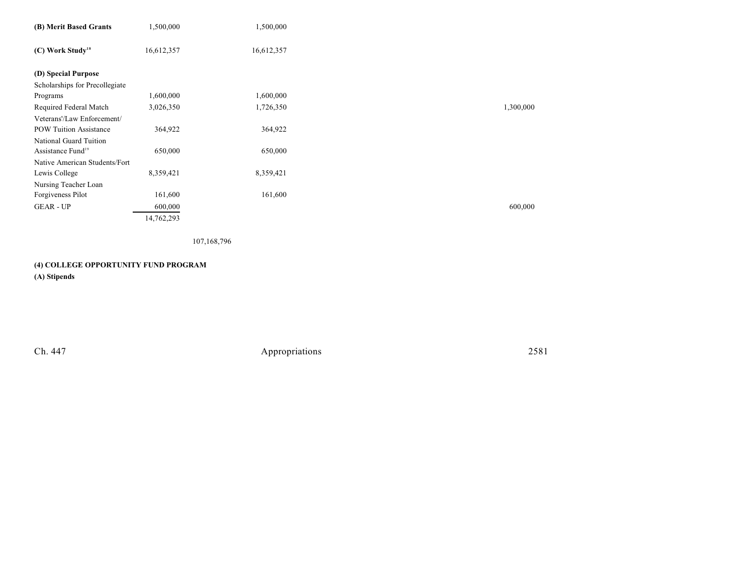| (B) Merit Based Grants         | 1,500,000  | 1,500,000  |           |
|--------------------------------|------------|------------|-----------|
| (C) Work Study <sup>18</sup>   | 16,612,357 | 16,612,357 |           |
| (D) Special Purpose            |            |            |           |
| Scholarships for Precollegiate |            |            |           |
| Programs                       | 1,600,000  | 1,600,000  |           |
| Required Federal Match         | 3,026,350  | 1,726,350  | 1,300,000 |
| Veterans'/Law Enforcement/     |            |            |           |
| <b>POW Tuition Assistance</b>  | 364,922    | 364,922    |           |
| National Guard Tuition         |            |            |           |
| Assistance Fund <sup>19</sup>  | 650,000    | 650,000    |           |
| Native American Students/Fort  |            |            |           |
| Lewis College                  | 8,359,421  | 8,359,421  |           |
| Nursing Teacher Loan           |            |            |           |
| Forgiveness Pilot              | 161,600    | 161,600    |           |
| <b>GEAR - UP</b>               | 600,000    |            | 600,000   |
|                                | 14,762,293 |            |           |

107,168,796

# **(4) COLLEGE OPPORTUNITY FUND PROGRAM**

**(A) Stipends**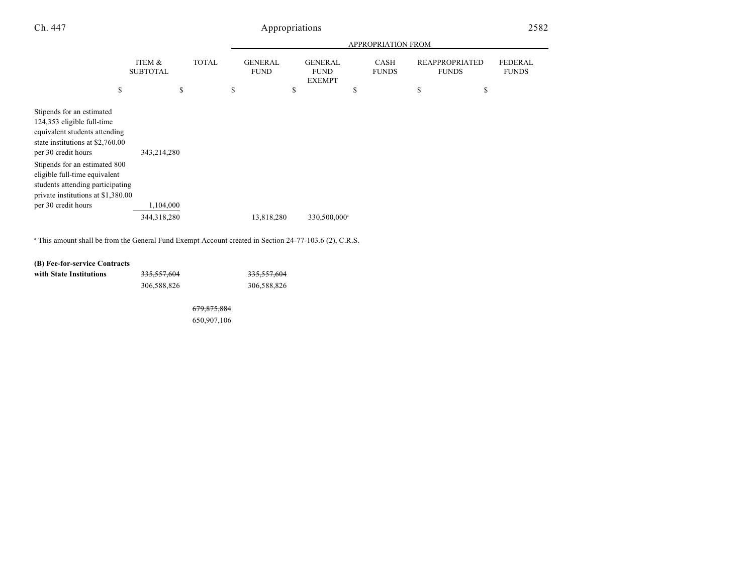|                                                                                                                                                                                                                                                                                                 |                                 |              | <b>APPROPRIATION FROM</b>           |    |                                                |    |                      |                                                   |                                |
|-------------------------------------------------------------------------------------------------------------------------------------------------------------------------------------------------------------------------------------------------------------------------------------------------|---------------------------------|--------------|-------------------------------------|----|------------------------------------------------|----|----------------------|---------------------------------------------------|--------------------------------|
| \$                                                                                                                                                                                                                                                                                              | ITEM &<br><b>SUBTOTAL</b><br>\$ | <b>TOTAL</b> | \$<br><b>GENERAL</b><br><b>FUND</b> | \$ | <b>GENERAL</b><br><b>FUND</b><br><b>EXEMPT</b> | \$ | CASH<br><b>FUNDS</b> | \$<br><b>REAPPROPRIATED</b><br><b>FUNDS</b><br>\$ | <b>FEDERAL</b><br><b>FUNDS</b> |
|                                                                                                                                                                                                                                                                                                 |                                 |              |                                     |    |                                                |    |                      |                                                   |                                |
| Stipends for an estimated<br>124,353 eligible full-time<br>equivalent students attending<br>state institutions at \$2,760.00<br>per 30 credit hours<br>Stipends for an estimated 800<br>eligible full-time equivalent<br>students attending participating<br>private institutions at \$1,380.00 | 343,214,280                     |              |                                     |    |                                                |    |                      |                                                   |                                |
| per 30 credit hours                                                                                                                                                                                                                                                                             | 1,104,000                       |              |                                     |    |                                                |    |                      |                                                   |                                |
|                                                                                                                                                                                                                                                                                                 | 344,318,280                     |              | 13,818,280                          |    | 330,500,000 <sup>a</sup>                       |    |                      |                                                   |                                |

<sup>a</sup> This amount shall be from the General Fund Exempt Account created in Section 24-77-103.6 (2), C.R.S.

### **(B) Fee-for-service Contracts**

| with State Institutions | <del>335,557,604</del> | <del>335,557,604</del> |
|-------------------------|------------------------|------------------------|
|                         | 306,588,826            | 306,588,826            |

679,875,884

650,907,106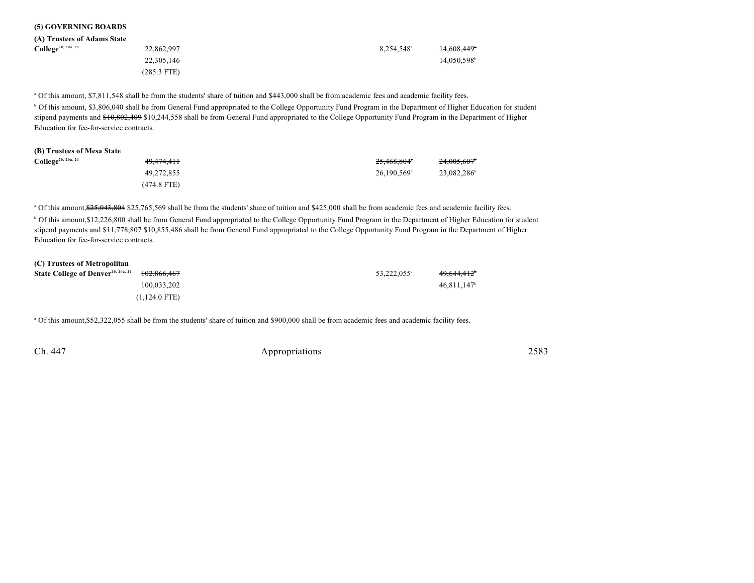|  | (5) GOVERNING BOARDS |  |
|--|----------------------|--|
|--|----------------------|--|

| (A) Trustees of Adams State    |             |                          |            |
|--------------------------------|-------------|--------------------------|------------|
| College <sup>20, 20a, 21</sup> | 22,862,997  | $8.254.548$ <sup>a</sup> | 14.608.449 |
|                                | 22,305,146  |                          | 14,050,598 |
|                                | (285.3 FTE) |                          |            |

Of this amount, \$7,811,548 shall be from the students' share of tuition and \$443,000 shall be from academic fees and academic facility fees. <sup>a</sup>

<sup>b</sup> Of this amount, \$3,806,040 shall be from General Fund appropriated to the College Opportunity Fund Program in the Department of Higher Education for student stipend payments and \$10,802,409 \$10,244,558 shall be from General Fund appropriated to the College Opportunity Fund Program in the Department of Higher Education for fee-for-service contracts.

| (B) Trustees of Mesa State            |             |                           |            |
|---------------------------------------|-------------|---------------------------|------------|
| <b>College</b> <sup>20, 20a, 21</sup> | 49.474.411  | 25,468,804*               | 24.005.607 |
|                                       | 49.272.855  | $26.190.569$ <sup>a</sup> | 23.082.286 |
|                                       | (474.8 FTE) |                           |            |

<sup>a</sup> Of this amount, \$25,043,804 \$25,765,569 shall be from the students' share of tuition and \$425,000 shall be from academic fees and academic facility fees. <sup>b</sup> Of this amount,\$12,226,800 shall be from General Fund appropriated to the College Opportunity Fund Program in the Department of Higher Education for student stipend payments and \$11,778,807 \$10,855,486 shall be from General Fund appropriated to the College Opportunity Fund Program in the Department of Higher Education for fee-for-service contracts.

| (C) Trustees of Metropolitan                   |                 |                         |                           |
|------------------------------------------------|-----------------|-------------------------|---------------------------|
| State College of Denver <sup>20, 20a, 21</sup> | 102.866.467     | 53.222.055 <sup>a</sup> | 49.644.412                |
|                                                | 100.033.202     |                         | $46.811.147$ <sup>b</sup> |
|                                                | $(1,124.0$ FTE) |                         |                           |

Of this amount,\$52,322,055 shall be from the students' share of tuition and \$900,000 shall be from academic fees and academic facility fees. <sup>a</sup>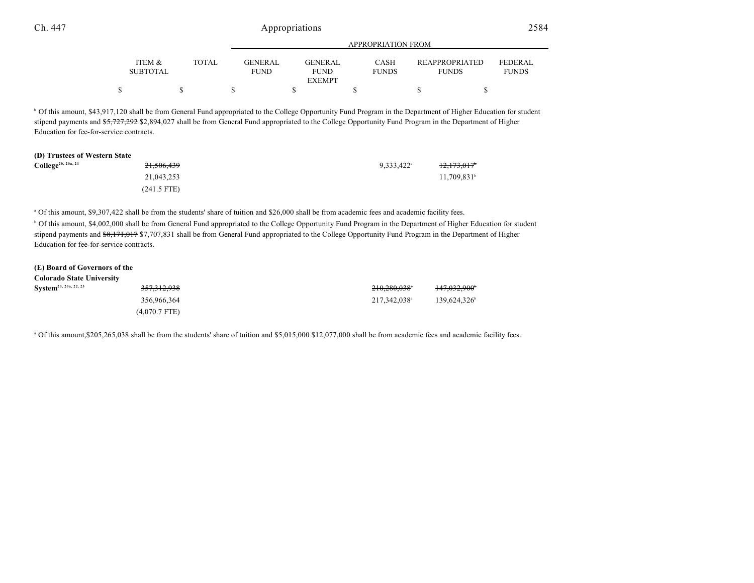|                 |       |                | APPROPRIATION FROM |              |                       |                |  |
|-----------------|-------|----------------|--------------------|--------------|-----------------------|----------------|--|
| ITEM &          | TOTAL | <b>GENERAL</b> | <b>GENERAL</b>     | <b>CASH</b>  | <b>REAPPROPRIATED</b> | <b>FEDERAL</b> |  |
| <b>SUBTOTAL</b> |       | <b>FUND</b>    | <b>FUND</b>        | <b>FUNDS</b> | <b>FUNDS</b>          | <b>FUNDS</b>   |  |
|                 |       |                | <b>EXEMPT</b>      |              |                       |                |  |
|                 |       |                |                    |              |                       |                |  |

<sup>b</sup> Of this amount, \$43,917,120 shall be from General Fund appropriated to the College Opportunity Fund Program in the Department of Higher Education for student stipend payments and \$5,727,292 \$2,894,027 shall be from General Fund appropriated to the College Opportunity Fund Program in the Department of Higher Education for fee-for-service contracts.

### **(D) Trustees of Western State**

| <b>College</b> <sup>20, 20a, 21</sup> | <del>21,506,439</del> | $9,333,422$ <sup>a</sup> | <del>12,173,017</del>     |
|---------------------------------------|-----------------------|--------------------------|---------------------------|
|                                       | 21,043,253            |                          | $11,709,831$ <sup>b</sup> |
|                                       | $(241.5$ FTE)         |                          |                           |

 Of this amount, \$9,307,422 shall be from the students' share of tuition and \$26,000 shall be from academic fees and academic facility fees. <sup>a</sup> <sup>b</sup> Of this amount, \$4,002,000 shall be from General Fund appropriated to the College Opportunity Fund Program in the Department of Higher Education for student stipend payments and \$8,171,017 \$7,707,831 shall be from General Fund appropriated to the College Opportunity Fund Program in the Department of Higher Education for fee-for-service contracts.

| (E) Board of Governors of the     |                        |              |                          |
|-----------------------------------|------------------------|--------------|--------------------------|
| Colorado State University         |                        |              |                          |
| System <sup>20, 20a, 22, 23</sup> | <del>357,312,938</del> | 210.280.038* | 147,032,900 <sup>t</sup> |
|                                   | 356,966,364            | 217.342.038  | 139.624.326              |
|                                   | $(4.070.7$ FTE)        |              |                          |

<sup>a</sup> Of this amount, \$205,265,038 shall be from the students' share of tuition and \$5,015,000 \$12,077,000 shall be from academic fees and academic facility fees.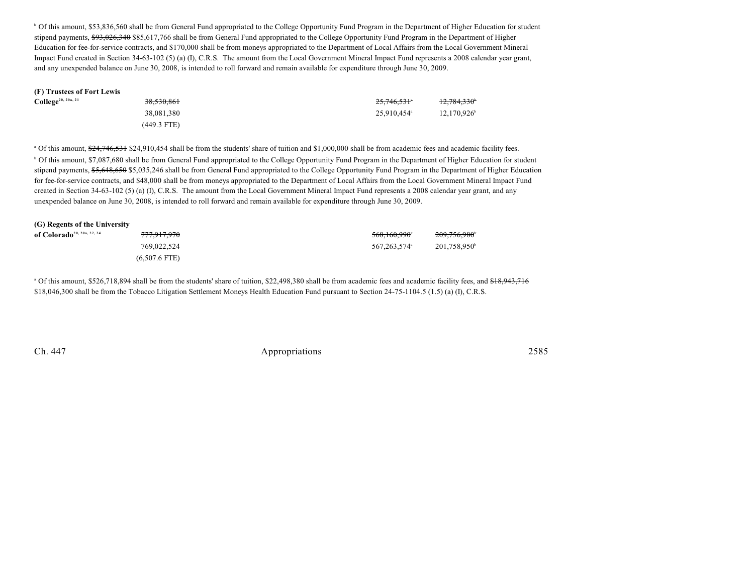<sup>b</sup> Of this amount, \$53,836,560 shall be from General Fund appropriated to the College Opportunity Fund Program in the Department of Higher Education for student stipend payments, \$93,026,340 \$85,617,766 shall be from General Fund appropriated to the College Opportunity Fund Program in the Department of Higher Education for fee-for-service contracts, and \$170,000 shall be from moneys appropriated to the Department of Local Affairs from the Local Government Mineral Impact Fund created in Section 34-63-102 (5) (a) (I), C.R.S. The amount from the Local Government Mineral Impact Fund represents a 2008 calendar year grant, and any unexpended balance on June 30, 2008, is intended to roll forward and remain available for expenditure through June 30, 2009.

| (F) Trustees of Fort Lewis            |               |                         |                         |
|---------------------------------------|---------------|-------------------------|-------------------------|
| <b>College</b> <sup>20, 20a, 21</sup> | 38,530,861    | 25,746,531°             | 12,784,330 <sup>°</sup> |
|                                       | 38,081,380    | 25.910.454 <sup>a</sup> | $12.170.926^{\circ}$    |
|                                       | $(449.3$ FTE) |                         |                         |

<sup>a</sup> Of this amount,  $\frac{624}{746,531}$  \$24,910,454 shall be from the students' share of tuition and \$1,000,000 shall be from academic fees and academic facility fees.

<sup>b</sup> Of this amount, \$7,087,680 shall be from General Fund appropriated to the College Opportunity Fund Program in the Department of Higher Education for student stipend payments, \$5,648,650 \$5,035,246 shall be from General Fund appropriated to the College Opportunity Fund Program in the Department of Higher Education for fee-for-service contracts, and \$48,000 shall be from moneys appropriated to the Department of Local Affairs from the Local Government Mineral Impact Fund created in Section 34-63-102 (5) (a) (I), C.R.S. The amount from the Local Government Mineral Impact Fund represents a 2008 calendar year grant, and any unexpended balance on June 30, 2008, is intended to roll forward and remain available for expenditure through June 30, 2009.

| (G) Regents of the University          |                        |              |                          |
|----------------------------------------|------------------------|--------------|--------------------------|
| of Colorado <sup>20, 20a, 22, 24</sup> | <del>777,917,970</del> | 568,160,990° | 209,756,980 <sup>*</sup> |
|                                        | 769,022,524            | 567.263.574  | 201.758.950 <sup>b</sup> |
|                                        | $(6.507.6$ FTE)        |              |                          |

<sup>a</sup> Of this amount, \$526,718,894 shall be from the students' share of tuition, \$22,498,380 shall be from academic fees and academic facility fees, and \$18,943,716 \$18,046,300 shall be from the Tobacco Litigation Settlement Moneys Health Education Fund pursuant to Section 24-75-1104.5 (1.5) (a) (I), C.R.S.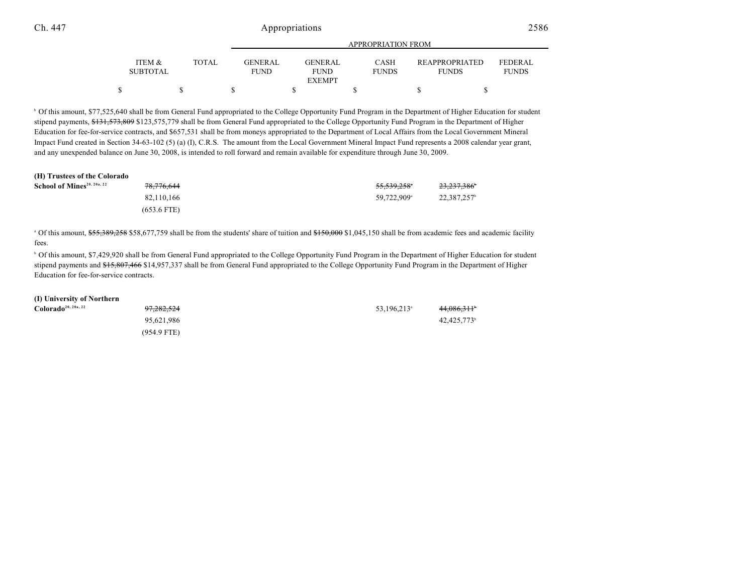|                                                    |              | APPROPRIATION FROM            |  |                        |  |                             |                                       |                                |  |
|----------------------------------------------------|--------------|-------------------------------|--|------------------------|--|-----------------------------|---------------------------------------|--------------------------------|--|
| <b>ITEM <math>\&amp;</math></b><br><b>SUBTOTAL</b> | <b>TOTAL</b> | <b>GENERAL</b><br><b>FUND</b> |  | GENERAL<br><b>FUND</b> |  | <b>CASH</b><br><b>FUNDS</b> | <b>REAPPROPRIATED</b><br><b>FUNDS</b> | <b>FEDERAL</b><br><b>FUNDS</b> |  |
|                                                    |              |                               |  | <b>EXEMPT</b>          |  |                             |                                       |                                |  |
|                                                    |              |                               |  |                        |  |                             |                                       |                                |  |

<sup>b</sup> Of this amount, \$77,525,640 shall be from General Fund appropriated to the College Opportunity Fund Program in the Department of Higher Education for student stipend payments, \$131,573,809 \$123,575,779 shall be from General Fund appropriated to the College Opportunity Fund Program in the Department of Higher Education for fee-for-service contracts, and \$657,531 shall be from moneys appropriated to the Department of Local Affairs from the Local Government Mineral Impact Fund created in Section 34-63-102 (5) (a) (I), C.R.S. The amount from the Local Government Mineral Impact Fund represents a 2008 calendar year grant, and any unexpended balance on June 30, 2008, is intended to roll forward and remain available for expenditure through June 30, 2009.

#### **(H) Trustees of the Colorado**

| School of Mines <sup>20, 20a, 22</sup> | 78,776,644    | 55,539,258°             | 23,237,386 <sup>b</sup> |
|----------------------------------------|---------------|-------------------------|-------------------------|
|                                        | 82.110.166    | 59.722.909 <sup>a</sup> | 22.387.257 <sup>b</sup> |
|                                        | $(653.6$ FTE) |                         |                         |

 $^{\circ}$  Of this amount,  $$55,389,258$  \$58,677,759 shall be from the students' share of tuition and  $$150,000$  \$1,045,150 shall be from academic fees and academic facility fees.

<sup>b</sup> Of this amount, \$7,429,920 shall be from General Fund appropriated to the College Opportunity Fund Program in the Department of Higher Education for student stipend payments and \$15,807,466 \$14,957,337 shall be from General Fund appropriated to the College Opportunity Fund Program in the Department of Higher Education for fee-for-service contracts.

#### **(I) University of Northern**

| Colorado <sup>20, 20a, 22</sup> | <del>97,282,524</del> | 53,196,213 <sup>a</sup> | 44,086,311 <sup>b</sup> |
|---------------------------------|-----------------------|-------------------------|-------------------------|
|                                 | 95.621.986            |                         | 42.425.773 <sup>b</sup> |
|                                 | $(954.9$ FTE)         |                         |                         |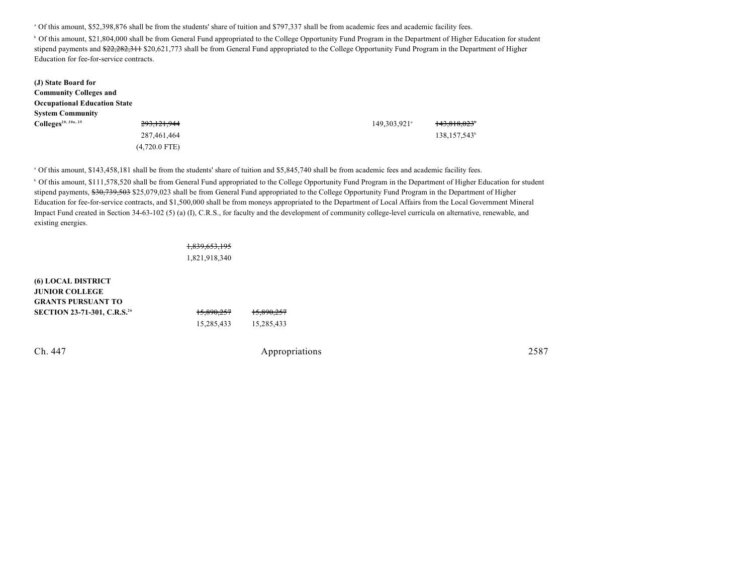Of this amount, \$52,398,876 shall be from the students' share of tuition and \$797,337 shall be from academic fees and academic facility fees. <sup>a</sup>

<sup>b</sup> Of this amount, \$21,804,000 shall be from General Fund appropriated to the College Opportunity Fund Program in the Department of Higher Education for student stipend payments and \$22,282,311 \$20,621,773 shall be from General Fund appropriated to the College Opportunity Fund Program in the Department of Higher Education for fee-for-service contracts.

| (J) State Board for                 |                 |                          |                          |
|-------------------------------------|-----------------|--------------------------|--------------------------|
| <b>Community Colleges and</b>       |                 |                          |                          |
| <b>Occupational Education State</b> |                 |                          |                          |
| <b>System Community</b>             |                 |                          |                          |
| $\text{Colleges}^{20, 20a, 25}$     | 293,121,944     | 149,303,921 <sup>a</sup> | 143,818,023              |
|                                     | 287,461,464     |                          | 138,157,543 <sup>b</sup> |
|                                     | $(4,720.0$ FTE) |                          |                          |

 Of this amount, \$143,458,181 shall be from the students' share of tuition and \$5,845,740 shall be from academic fees and academic facility fees. <sup>a</sup> <sup>b</sup> Of this amount, \$111,578,520 shall be from General Fund appropriated to the College Opportunity Fund Program in the Department of Higher Education for student stipend payments, \$30,739,503 \$25,079,023 shall be from General Fund appropriated to the College Opportunity Fund Program in the Department of Higher Education for fee-for-service contracts, and \$1,500,000 shall be from moneys appropriated to the Department of Local Affairs from the Local Government Mineral Impact Fund created in Section 34-63-102 (5) (a) (I), C.R.S., for faculty and the development of community college-level curricula on alternative, renewable, and existing energies.

#### 1,839,653,195

1,821,918,340

| <b>(6) LOCAL DISTRICT</b>                      |            |            |
|------------------------------------------------|------------|------------|
| <b>JUNIOR COLLEGE</b>                          |            |            |
| <b>GRANTS PURSUANT TO</b>                      |            |            |
| <b>SECTION 23-71-301, C.R.S.</b> <sup>26</sup> | 15,890,257 | 15,890,257 |
|                                                | 15,285,433 | 15,285,433 |
|                                                |            |            |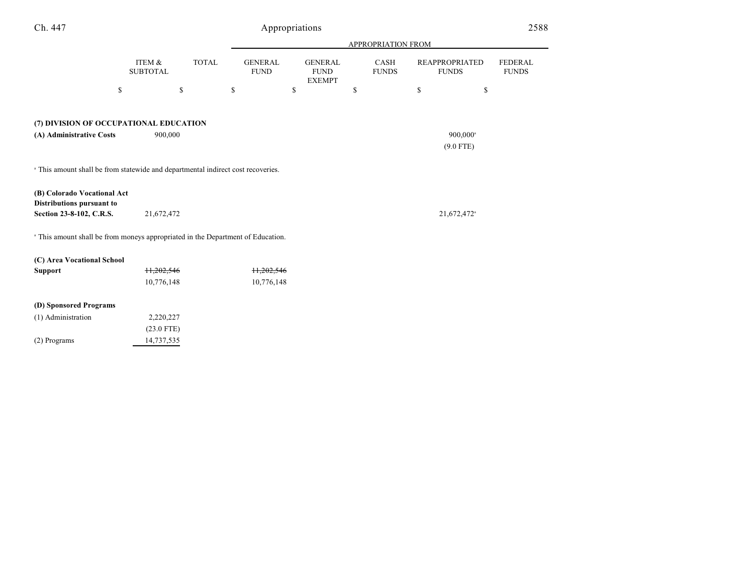| Ch. 447                                                                                     |                           |              | Appropriations                |                                                |                             | 2588                                  |                                |
|---------------------------------------------------------------------------------------------|---------------------------|--------------|-------------------------------|------------------------------------------------|-----------------------------|---------------------------------------|--------------------------------|
|                                                                                             |                           |              |                               |                                                | APPROPRIATION FROM          |                                       |                                |
|                                                                                             | ITEM &<br><b>SUBTOTAL</b> | <b>TOTAL</b> | <b>GENERAL</b><br><b>FUND</b> | <b>GENERAL</b><br><b>FUND</b><br><b>EXEMPT</b> | <b>CASH</b><br><b>FUNDS</b> | <b>REAPPROPRIATED</b><br><b>FUNDS</b> | <b>FEDERAL</b><br><b>FUNDS</b> |
|                                                                                             | \$                        | \$           | \$                            | \$                                             | \$                          | \$<br>\$                              |                                |
| (7) DIVISION OF OCCUPATIONAL EDUCATION                                                      |                           |              |                               |                                                |                             |                                       |                                |
| (A) Administrative Costs                                                                    | 900,000                   |              |                               |                                                |                             | 900,000 <sup>a</sup>                  |                                |
|                                                                                             |                           |              |                               |                                                |                             | $(9.0$ FTE)                           |                                |
|                                                                                             |                           |              |                               |                                                |                             |                                       |                                |
| <sup>a</sup> This amount shall be from statewide and departmental indirect cost recoveries. |                           |              |                               |                                                |                             |                                       |                                |
| (B) Colorado Vocational Act<br>Distributions pursuant to                                    |                           |              |                               |                                                |                             |                                       |                                |
| Section 23-8-102, C.R.S.                                                                    | 21,672,472                |              |                               |                                                |                             | 21,672,472 <sup>a</sup>               |                                |
| <sup>a</sup> This amount shall be from moneys appropriated in the Department of Education.  |                           |              |                               |                                                |                             |                                       |                                |
| (C) Area Vocational School                                                                  |                           |              |                               |                                                |                             |                                       |                                |
| <b>Support</b>                                                                              | 11,202,546                |              | 11,202,546                    |                                                |                             |                                       |                                |
|                                                                                             | 10,776,148                |              | 10,776,148                    |                                                |                             |                                       |                                |
| (D) Sponsored Programs                                                                      |                           |              |                               |                                                |                             |                                       |                                |
| (1) Administration                                                                          | 2,220,227                 |              |                               |                                                |                             |                                       |                                |
|                                                                                             | $(23.0$ FTE)              |              |                               |                                                |                             |                                       |                                |
| (2) Programs                                                                                | 14,737,535                |              |                               |                                                |                             |                                       |                                |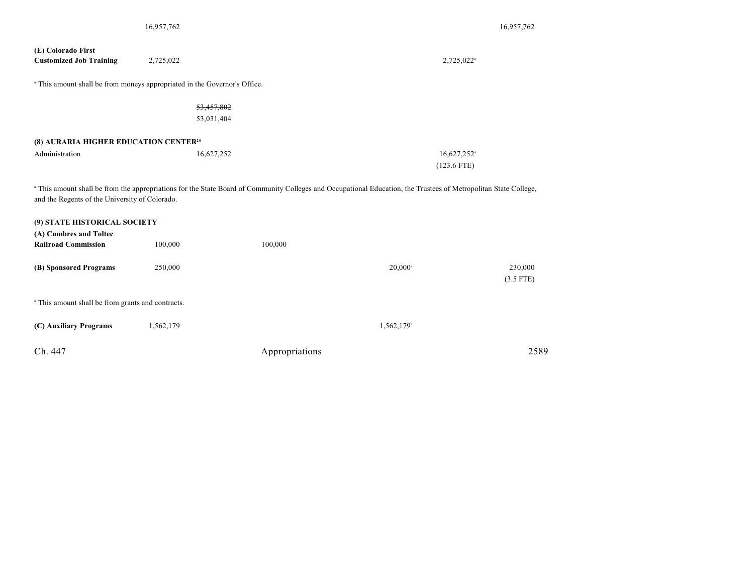|                                                                                      | 16,957,762 |                |                                                                                                                                                                  | 16,957,762             |
|--------------------------------------------------------------------------------------|------------|----------------|------------------------------------------------------------------------------------------------------------------------------------------------------------------|------------------------|
| (E) Colorado First<br><b>Customized Job Training</b>                                 | 2,725,022  |                | 2,725,022 <sup>a</sup>                                                                                                                                           |                        |
| <sup>a</sup> This amount shall be from moneys appropriated in the Governor's Office. |            |                |                                                                                                                                                                  |                        |
|                                                                                      | 53,457,802 |                |                                                                                                                                                                  |                        |
|                                                                                      | 53,031,404 |                |                                                                                                                                                                  |                        |
| (8) AURARIA HIGHER EDUCATION CENTER <sup>20</sup>                                    |            |                |                                                                                                                                                                  |                        |
| Administration                                                                       | 16,627,252 |                | 16,627,252 <sup>a</sup>                                                                                                                                          |                        |
|                                                                                      |            |                | $(123.6$ FTE)                                                                                                                                                    |                        |
| and the Regents of the University of Colorado.<br>(9) STATE HISTORICAL SOCIETY       |            |                | a This amount shall be from the appropriations for the State Board of Community Colleges and Occupational Education, the Trustees of Metropolitan State College, |                        |
| (A) Cumbres and Toltec                                                               |            |                |                                                                                                                                                                  |                        |
| <b>Railroad Commission</b>                                                           | 100,000    | 100,000        |                                                                                                                                                                  |                        |
| (B) Sponsored Programs                                                               | 250,000    |                | $20,000^{\circ}$                                                                                                                                                 | 230,000<br>$(3.5$ FTE) |
| <sup>a</sup> This amount shall be from grants and contracts.                         |            |                |                                                                                                                                                                  |                        |
| (C) Auxiliary Programs                                                               | 1,562,179  |                | 1,562,179 <sup>a</sup>                                                                                                                                           |                        |
| Ch. 447                                                                              |            | Appropriations |                                                                                                                                                                  | 2589                   |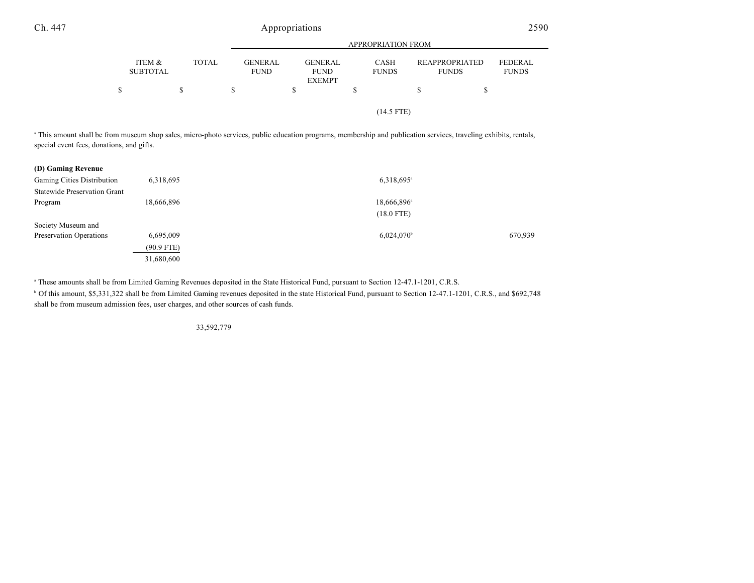|                           |              |                               | <b>APPROPRIATION FROM</b>     |                             |                                       |                                |  |  |
|---------------------------|--------------|-------------------------------|-------------------------------|-----------------------------|---------------------------------------|--------------------------------|--|--|
| ITEM &<br><b>SUBTOTAL</b> | <b>TOTAL</b> | <b>GENERAL</b><br><b>FUND</b> | <b>GENERAL</b><br><b>FUND</b> | <b>CASH</b><br><b>FUNDS</b> | <b>REAPPROPRIATED</b><br><b>FUNDS</b> | <b>FEDERAL</b><br><b>FUNDS</b> |  |  |
| \$                        | S            |                               | <b>EXEMPT</b><br>S            |                             | \$                                    |                                |  |  |
|                           |              |                               |                               | $(14.5$ FTE)                |                                       |                                |  |  |

<sup>a</sup> This amount shall be from museum shop sales, micro-photo services, public education programs, membership and publication services, traveling exhibits, rentals, special event fees, donations, and gifts.

| (D) Gaming Revenue                  |              |                          |         |
|-------------------------------------|--------------|--------------------------|---------|
| Gaming Cities Distribution          | 6,318,695    | 6,318,695 <sup>a</sup>   |         |
| <b>Statewide Preservation Grant</b> |              |                          |         |
| Program                             | 18,666,896   | 18,666,896 <sup>a</sup>  |         |
|                                     |              | $(18.0$ FTE)             |         |
| Society Museum and                  |              |                          |         |
| Preservation Operations             | 6,695,009    | $6,024,070$ <sup>b</sup> | 670,939 |
|                                     | $(90.9$ FTE) |                          |         |
|                                     | 31,680,600   |                          |         |

<sup>a</sup> These amounts shall be from Limited Gaming Revenues deposited in the State Historical Fund, pursuant to Section 12-47.1-1201, C.R.S.

<sup>b</sup> Of this amount, \$5,331,322 shall be from Limited Gaming revenues deposited in the state Historical Fund, pursuant to Section 12-47.1-1201, C.R.S., and \$692,748 shall be from museum admission fees, user charges, and other sources of cash funds.

33,592,779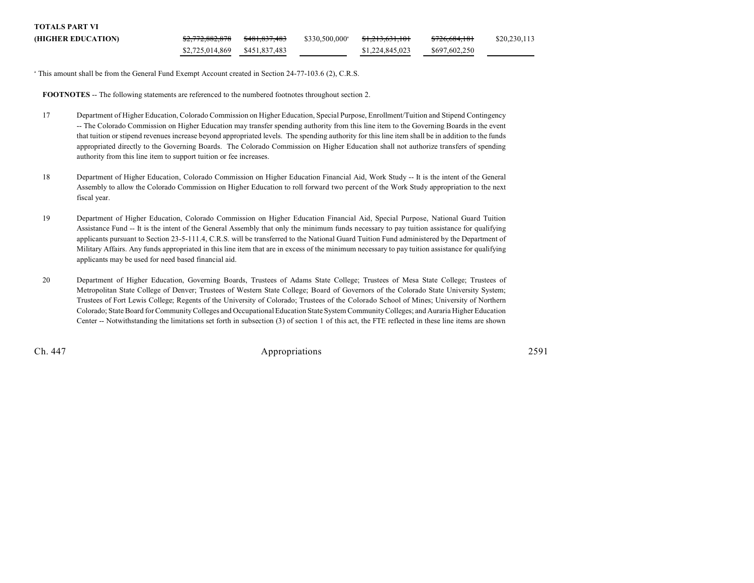| <b>TOTALS PART VI</b> |                            |                          |                            |                            |                          |              |
|-----------------------|----------------------------|--------------------------|----------------------------|----------------------------|--------------------------|--------------|
| (HIGHER EDUCATION)    | <del>\$2.772.882.878</del> | <del>\$481.837.483</del> | \$330,500,000 <sup>a</sup> | <del>\$1.213.631.101</del> | <del>\$726,684,181</del> | \$20,230,113 |
|                       | \$2,725,014,869            | \$451,837,483            |                            | \$1,224,845,023            | \$697,602,250            |              |

<sup>a</sup> This amount shall be from the General Fund Exempt Account created in Section 24-77-103.6 (2), C.R.S.

**FOOTNOTES** -- The following statements are referenced to the numbered footnotes throughout section 2.

- 17 Department of Higher Education, Colorado Commission on Higher Education, Special Purpose, Enrollment/Tuition and Stipend Contingency -- The Colorado Commission on Higher Education may transfer spending authority from this line item to the Governing Boards in the event that tuition or stipend revenues increase beyond appropriated levels. The spending authority for this line item shall be in addition to the funds appropriated directly to the Governing Boards. The Colorado Commission on Higher Education shall not authorize transfers of spending authority from this line item to support tuition or fee increases.
- 18 Department of Higher Education, Colorado Commission on Higher Education Financial Aid, Work Study -- It is the intent of the General Assembly to allow the Colorado Commission on Higher Education to roll forward two percent of the Work Study appropriation to the next fiscal year.
- 19 Department of Higher Education, Colorado Commission on Higher Education Financial Aid, Special Purpose, National Guard Tuition Assistance Fund -- It is the intent of the General Assembly that only the minimum funds necessary to pay tuition assistance for qualifying applicants pursuant to Section 23-5-111.4, C.R.S. will be transferred to the National Guard Tuition Fund administered by the Department of Military Affairs. Any funds appropriated in this line item that are in excess of the minimum necessary to pay tuition assistance for qualifying applicants may be used for need based financial aid.
- 20 Department of Higher Education, Governing Boards, Trustees of Adams State College; Trustees of Mesa State College; Trustees of Metropolitan State College of Denver; Trustees of Western State College; Board of Governors of the Colorado State University System; Trustees of Fort Lewis College; Regents of the University of Colorado; Trustees of the Colorado School of Mines; University of Northern Colorado; State Board for Community Colleges and Occupational Education State System Community Colleges; and Auraria Higher Education Center -- Notwithstanding the limitations set forth in subsection (3) of section 1 of this act, the FTE reflected in these line items are shown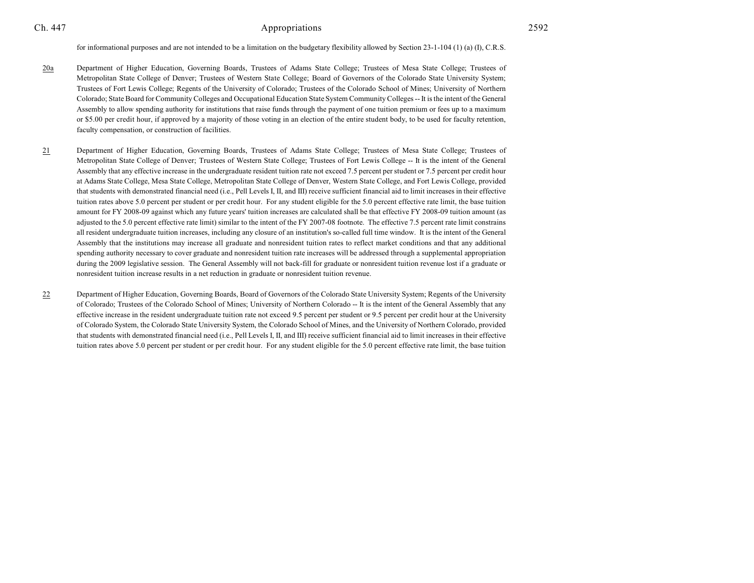- 20a Department of Higher Education, Governing Boards, Trustees of Adams State College; Trustees of Mesa State College; Trustees of Metropolitan State College of Denver; Trustees of Western State College; Board of Governors of the Colorado State University System; Trustees of Fort Lewis College; Regents of the University of Colorado; Trustees of the Colorado School of Mines; University of Northern Colorado; State Board for Community Colleges and Occupational Education State System Community Colleges -- It is the intent of the General Assembly to allow spending authority for institutions that raise funds through the payment of one tuition premium or fees up to a maximum or \$5.00 per credit hour, if approved by a majority of those voting in an election of the entire student body, to be used for faculty retention, faculty compensation, or construction of facilities.
- 21 Department of Higher Education, Governing Boards, Trustees of Adams State College; Trustees of Mesa State College; Trustees of Metropolitan State College of Denver; Trustees of Western State College; Trustees of Fort Lewis College -- It is the intent of the General Assembly that any effective increase in the undergraduate resident tuition rate not exceed 7.5 percent per student or 7.5 percent per credit hour at Adams State College, Mesa State College, Metropolitan State College of Denver, Western State College, and Fort Lewis College, provided that students with demonstrated financial need (i.e., Pell Levels I, II, and III) receive sufficient financial aid to limit increases in their effective tuition rates above 5.0 percent per student or per credit hour. For any student eligible for the 5.0 percent effective rate limit, the base tuition amount for FY 2008-09 against which any future years' tuition increases are calculated shall be that effective FY 2008-09 tuition amount (as adjusted to the 5.0 percent effective rate limit) similar to the intent of the FY 2007-08 footnote. The effective 7.5 percent rate limit constrains all resident undergraduate tuition increases, including any closure of an institution's so-called full time window. It is the intent of the General Assembly that the institutions may increase all graduate and nonresident tuition rates to reflect market conditions and that any additional spending authority necessary to cover graduate and nonresident tuition rate increases will be addressed through a supplemental appropriation during the 2009 legislative session. The General Assembly will not back-fill for graduate or nonresident tuition revenue lost if a graduate or nonresident tuition increase results in a net reduction in graduate or nonresident tuition revenue.
- 22 Department of Higher Education, Governing Boards, Board of Governors of the Colorado State University System; Regents of the University of Colorado; Trustees of the Colorado School of Mines; University of Northern Colorado -- It is the intent of the General Assembly that any effective increase in the resident undergraduate tuition rate not exceed 9.5 percent per student or 9.5 percent per credit hour at the University of Colorado System, the Colorado State University System, the Colorado School of Mines, and the University of Northern Colorado, provided that students with demonstrated financial need (i.e., Pell Levels I, II, and III) receive sufficient financial aid to limit increases in their effective tuition rates above 5.0 percent per student or per credit hour. For any student eligible for the 5.0 percent effective rate limit, the base tuition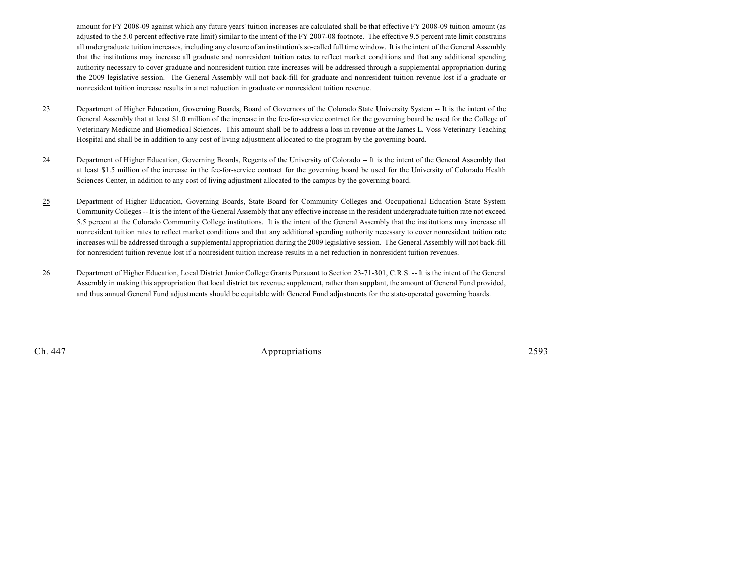amount for FY 2008-09 against which any future years' tuition increases are calculated shall be that effective FY 2008-09 tuition amount (as adjusted to the 5.0 percent effective rate limit) similar to the intent of the FY 2007-08 footnote. The effective 9.5 percent rate limit constrains all undergraduate tuition increases, including any closure of an institution's so-called full time window. It is the intent of the General Assembly that the institutions may increase all graduate and nonresident tuition rates to reflect market conditions and that any additional spending authority necessary to cover graduate and nonresident tuition rate increases will be addressed through a supplemental appropriation during the 2009 legislative session. The General Assembly will not back-fill for graduate and nonresident tuition revenue lost if a graduate or nonresident tuition increase results in a net reduction in graduate or nonresident tuition revenue.

- 23 Department of Higher Education, Governing Boards, Board of Governors of the Colorado State University System -- It is the intent of the General Assembly that at least \$1.0 million of the increase in the fee-for-service contract for the governing board be used for the College of Veterinary Medicine and Biomedical Sciences. This amount shall be to address a loss in revenue at the James L. Voss Veterinary Teaching Hospital and shall be in addition to any cost of living adjustment allocated to the program by the governing board.
- 24 Department of Higher Education, Governing Boards, Regents of the University of Colorado -- It is the intent of the General Assembly that at least \$1.5 million of the increase in the fee-for-service contract for the governing board be used for the University of Colorado Health Sciences Center, in addition to any cost of living adjustment allocated to the campus by the governing board.
- 25 Department of Higher Education, Governing Boards, State Board for Community Colleges and Occupational Education State System Community Colleges -- It is the intent of the General Assembly that any effective increase in the resident undergraduate tuition rate not exceed 5.5 percent at the Colorado Community College institutions. It is the intent of the General Assembly that the institutions may increase all nonresident tuition rates to reflect market conditions and that any additional spending authority necessary to cover nonresident tuition rate increases will be addressed through a supplemental appropriation during the 2009 legislative session. The General Assembly will not back-fill for nonresident tuition revenue lost if a nonresident tuition increase results in a net reduction in nonresident tuition revenues.
- 26 Department of Higher Education, Local District Junior College Grants Pursuant to Section 23-71-301, C.R.S. -- It is the intent of the General Assembly in making this appropriation that local district tax revenue supplement, rather than supplant, the amount of General Fund provided, and thus annual General Fund adjustments should be equitable with General Fund adjustments for the state-operated governing boards.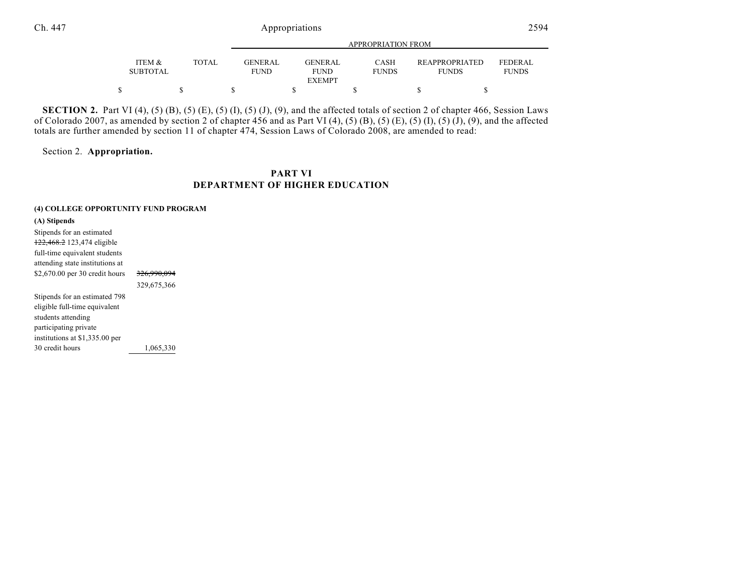|                           |              |                               | ALLINOI INTERIORET INORI      |                      |                                       |                          |  |
|---------------------------|--------------|-------------------------------|-------------------------------|----------------------|---------------------------------------|--------------------------|--|
| ITEM &<br><b>SUBTOTAL</b> | <b>TOTAL</b> | <b>GENERAL</b><br><b>FUND</b> | <b>GENERAL</b><br><b>FUND</b> | CASH<br><b>FUNDS</b> | <b>REAPPROPRIATED</b><br><b>FUNDS</b> | FEDERAL.<br><b>FUNDS</b> |  |
|                           |              |                               | <b>EXEMPT</b>                 |                      |                                       |                          |  |
|                           |              |                               |                               |                      |                                       |                          |  |

**SECTION 2.** Part VI (4), (5) (B), (5) (E), (5) (I), (5) (J), (9), and the affected totals of section 2 of chapter 466, Session Laws of Colorado 2007, as amended by section 2 of chapter 456 and as Part VI (4), (5) (B), (5) (E), (5) (I), (5) (J), (9), and the affected totals are further amended by section 11 of chapter 474, Session Laws of Colorado 2008, are amended to read:

Section 2. **Appropriation.**

### **PART VI DEPARTMENT OF HIGHER EDUCATION**

#### **(4) COLLEGE OPPORTUNITY FUND PROGRAM**

**(A) Stipends** Stipends for an estimated 122,468.2 123,474 eligible full-time equivalent students attending state institutions at \$2,670.00 per 30 credit hours 326,990,094 329,675,366 Stipends for an estimated 798 eligible full-time equivalent students attending participating private institutions at \$1,335.00 per 30 credit hours 1,065,330 APPROPRIATION FROM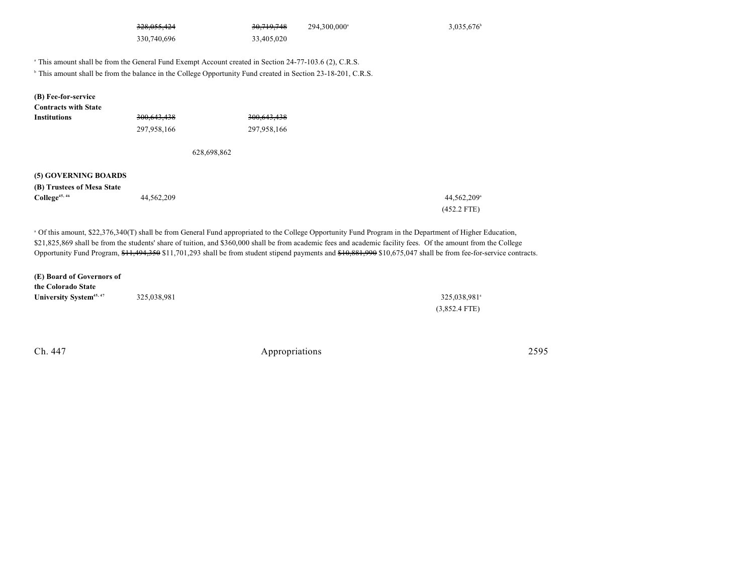| 228.055.424<br>720,055,424 |
|----------------------------|

 $30,719,748$  294,300,000<sup>a</sup> 3,035,676<sup>b</sup> 330,740,696 33,405,020

<sup>a</sup> This amount shall be from the General Fund Exempt Account created in Section 24-77-103.6 (2), C.R.S.

<sup>b</sup> This amount shall be from the balance in the College Opportunity Fund created in Section 23-18-201, C.R.S.

**Contracts with State Institutions** 300,643,438 300,643,438

297,958,166 297,958,166

628,698,862

#### **(5) GOVERNING BOARDS**

| (B) Trustees of Mesa State |            |                         |  |  |
|----------------------------|------------|-------------------------|--|--|
| College <sup>45, 46</sup>  | 44,562,209 | 44,562,209 <sup>a</sup> |  |  |
|                            |            | $(452.2$ FTE)           |  |  |

 Of this amount, \$22,376,340(T) shall be from General Fund appropriated to the College Opportunity Fund Program in the Department of Higher Education, <sup>a</sup> \$21,825,869 shall be from the students' share of tuition, and \$360,000 shall be from academic fees and academic facility fees. Of the amount from the College Opportunity Fund Program, \$11,494,350 \$11,701,293 shall be from student stipend payments and \$10,881,990 \$10,675,047 shall be from fee-for-service contracts.

**(E) Board of Governors of the Colorado State University System<sup>45, 47</sup> 325, 038, 981** 325, 038, 981 325, 038, 981 325, 038, 981 325, 038, 981 45, 47

(3,852.4 FTE)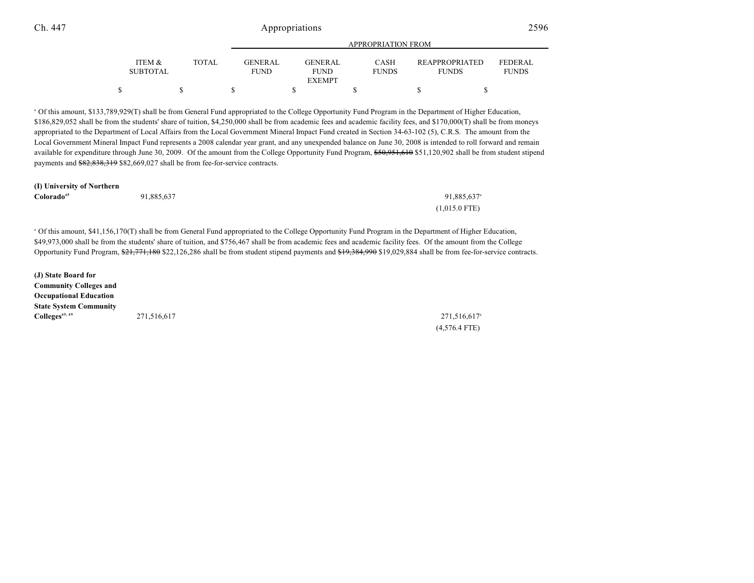|                           |       |                               | <b>APPROPRIATION FROM</b>     |                             |                                       |                         |  |  |
|---------------------------|-------|-------------------------------|-------------------------------|-----------------------------|---------------------------------------|-------------------------|--|--|
| ITEM &<br><b>SUBTOTAL</b> | TOTAL | <b>GENERAL</b><br><b>FUND</b> | <b>GENERAL</b><br><b>FUND</b> | <b>CASH</b><br><b>FUNDS</b> | <b>REAPPROPRIATED</b><br><b>FUNDS</b> | FEDERAL<br><b>FUNDS</b> |  |  |
|                           |       |                               | <b>EXEMPT</b>                 |                             |                                       |                         |  |  |
|                           |       |                               |                               |                             |                                       |                         |  |  |

 Of this amount, \$133,789,929(T) shall be from General Fund appropriated to the College Opportunity Fund Program in the Department of Higher Education, <sup>a</sup> \$186,829,052 shall be from the students' share of tuition, \$4,250,000 shall be from academic fees and academic facility fees, and \$170,000(T) shall be from moneys appropriated to the Department of Local Affairs from the Local Government Mineral Impact Fund created in Section 34-63-102 (5), C.R.S. The amount from the Local Government Mineral Impact Fund represents a 2008 calendar year grant, and any unexpended balance on June 30, 2008 is intended to roll forward and remain available for expenditure through June 30, 2009. Of the amount from the College Opportunity Fund Program, \$50,951,610 \$51,120,902 shall be from student stipend payments and \$82,838,319 \$82,669,027 shall be from fee-for-service contracts.

| Colorado <sup>45</sup> | 91,885,637 | 91,885,637 <sup>a</sup> |
|------------------------|------------|-------------------------|
|                        |            | $(1,015.0$ FTE)         |

 Of this amount, \$41,156,170(T) shall be from General Fund appropriated to the College Opportunity Fund Program in the Department of Higher Education, <sup>a</sup> \$49,973,000 shall be from the students' share of tuition, and \$756,467 shall be from academic fees and academic facility fees. Of the amount from the College Opportunity Fund Program, \$21,771,180 \$22,126,286 shall be from student stipend payments and \$19,384,990 \$19,029,884 shall be from fee-for-service contracts.

**(J) State Board for Community Colleges and Occupational Education State System Community Colleges**<sup>45, 49</sup> **45, 49 45, 49 45, 49 45, 49 45, 49 45, 49 45, 49 45, 49 45, 49 45, 49 45, 49 45, 49 45, 49 45, 49 45, 49 45, 49 45, 49 45, 49 45, 49 45, 49 45, 49 45, 49 45,** 

(4,576.4 FTE)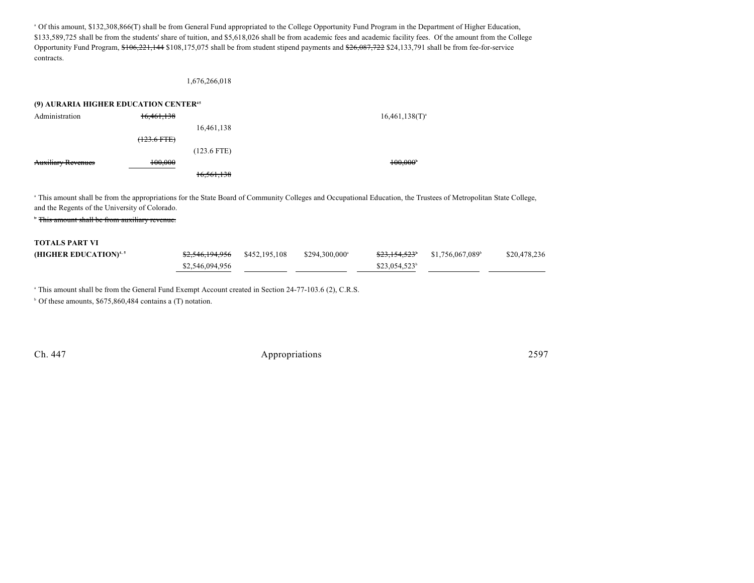Of this amount, \$132,308,866(T) shall be from General Fund appropriated to the College Opportunity Fund Program in the Department of Higher Education, <sup>a</sup> \$133,589,725 shall be from the students' share of tuition, and \$5,618,026 shall be from academic fees and academic facility fees. Of the amount from the College Opportunity Fund Program, \$106,221,144 \$108,175,075 shall be from student stipend payments and \$26,087,722 \$24,133,791 shall be from fee-for-service contracts.

#### 1,676,266,018

| (9) AURARIA HIGHER EDUCATION CENTER <sup>45</sup> |                                     |               |                     |  |
|---------------------------------------------------|-------------------------------------|---------------|---------------------|--|
| Administration                                    | 16,461,138                          |               | $16,461,138(T)^{3}$ |  |
|                                                   |                                     | 16,461,138    |                     |  |
|                                                   | $(122.6 \text{ FFR})$<br>125.0 PTE1 |               |                     |  |
|                                                   |                                     | $(123.6$ FTE) |                     |  |
| <b>Auxiliary Revenues</b>                         | 100.000                             |               | 100,000             |  |
|                                                   |                                     | 16.561.138    |                     |  |

<sup>a</sup> This amount shall be from the appropriations for the State Board of Community Colleges and Occupational Education, the Trustees of Metropolitan State College, and the Regents of the University of Colorado.

<sup>\*</sup> This amount shall be from auxiliary revenue.

# **TOTALS PART VI (HIGHER EDUCATION)<sup>4,5</sup> \$2,546,194,956** \$452,195,108 \$294,300,000 \$23,154,523<sup>2</sup> \$1,756,067,089 \$20,478,236  $$2,546,094,956$   $$23,054,523^b$

<sup>a</sup> This amount shall be from the General Fund Exempt Account created in Section 24-77-103.6 (2), C.R.S.

 $\degree$  Of these amounts, \$675,860,484 contains a (T) notation.